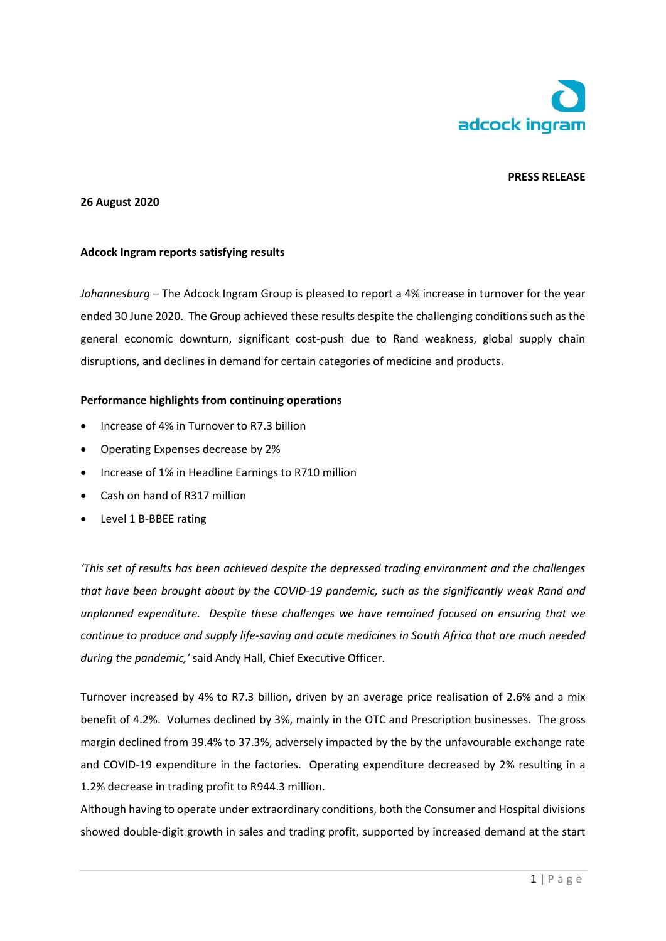

# **PRESS RELEASE**

#### **26 August 2020**

### **Adcock Ingram reports satisfying results**

*Johannesburg* – The Adcock Ingram Group is pleased to report a 4% increase in turnover for the year ended 30 June 2020. The Group achieved these results despite the challenging conditions such as the general economic downturn, significant cost-push due to Rand weakness, global supply chain disruptions, and declines in demand for certain categories of medicine and products.

### **Performance highlights from continuing operations**

- Increase of 4% in Turnover to R7.3 billion
- Operating Expenses decrease by 2%
- Increase of 1% in Headline Earnings to R710 million
- Cash on hand of R317 million
- Level 1 B-BBEE rating

*'This set of results has been achieved despite the depressed trading environment and the challenges that have been brought about by the COVID-19 pandemic, such as the significantly weak Rand and unplanned expenditure. Despite these challenges we have remained focused on ensuring that we continue to produce and supply life-saving and acute medicines in South Africa that are much needed during the pandemic,'* said Andy Hall, Chief Executive Officer.

Turnover increased by 4% to R7.3 billion, driven by an average price realisation of 2.6% and a mix benefit of 4.2%. Volumes declined by 3%, mainly in the OTC and Prescription businesses. The gross margin declined from 39.4% to 37.3%, adversely impacted by the by the unfavourable exchange rate and COVID-19 expenditure in the factories. Operating expenditure decreased by 2% resulting in a 1.2% decrease in trading profit to R944.3 million.

Although having to operate under extraordinary conditions, both the Consumer and Hospital divisions showed double-digit growth in sales and trading profit, supported by increased demand at the start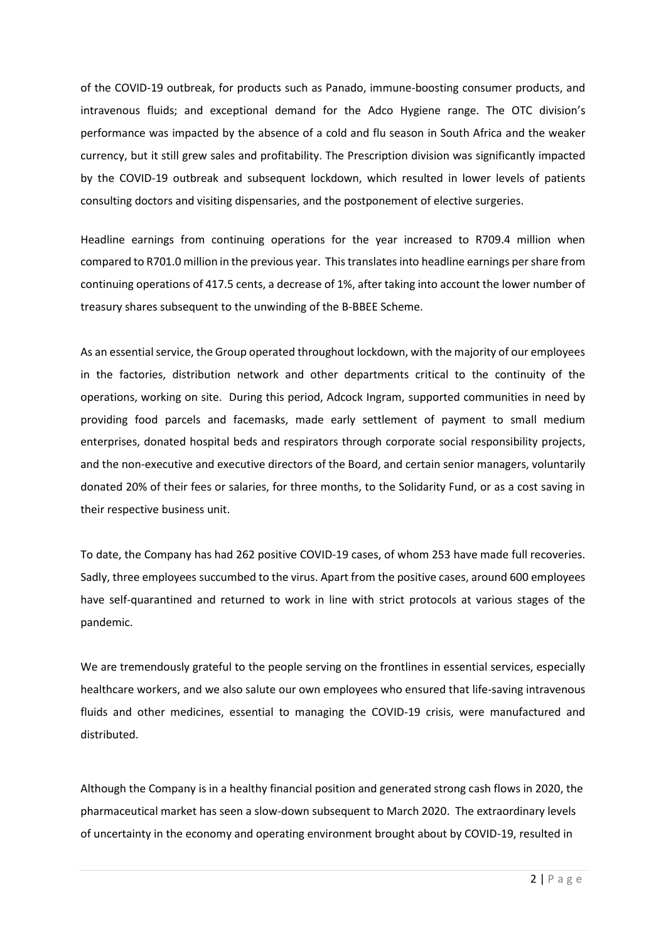of the COVID-19 outbreak, for products such as Panado, immune-boosting consumer products, and intravenous fluids; and exceptional demand for the Adco Hygiene range. The OTC division's performance was impacted by the absence of a cold and flu season in South Africa and the weaker currency, but it still grew sales and profitability. The Prescription division was significantly impacted by the COVID-19 outbreak and subsequent lockdown, which resulted in lower levels of patients consulting doctors and visiting dispensaries, and the postponement of elective surgeries.

Headline earnings from continuing operations for the year increased to R709.4 million when compared to R701.0 million in the previous year. This translates into headline earnings per share from continuing operations of 417.5 cents, a decrease of 1%, after taking into account the lower number of treasury shares subsequent to the unwinding of the B-BBEE Scheme.

As an essential service, the Group operated throughout lockdown, with the majority of our employees in the factories, distribution network and other departments critical to the continuity of the operations, working on site. During this period, Adcock Ingram, supported communities in need by providing food parcels and facemasks, made early settlement of payment to small medium enterprises, donated hospital beds and respirators through corporate social responsibility projects, and the non-executive and executive directors of the Board, and certain senior managers, voluntarily donated 20% of their fees or salaries, for three months, to the Solidarity Fund, or as a cost saving in their respective business unit.

To date, the Company has had 262 positive COVID-19 cases, of whom 253 have made full recoveries. Sadly, three employees succumbed to the virus. Apart from the positive cases, around 600 employees have self-quarantined and returned to work in line with strict protocols at various stages of the pandemic.

We are tremendously grateful to the people serving on the frontlines in essential services, especially healthcare workers, and we also salute our own employees who ensured that life-saving intravenous fluids and other medicines, essential to managing the COVID-19 crisis, were manufactured and distributed.

Although the Company is in a healthy financial position and generated strong cash flows in 2020, the pharmaceutical market has seen a slow-down subsequent to March 2020. The extraordinary levels of uncertainty in the economy and operating environment brought about by COVID-19, resulted in